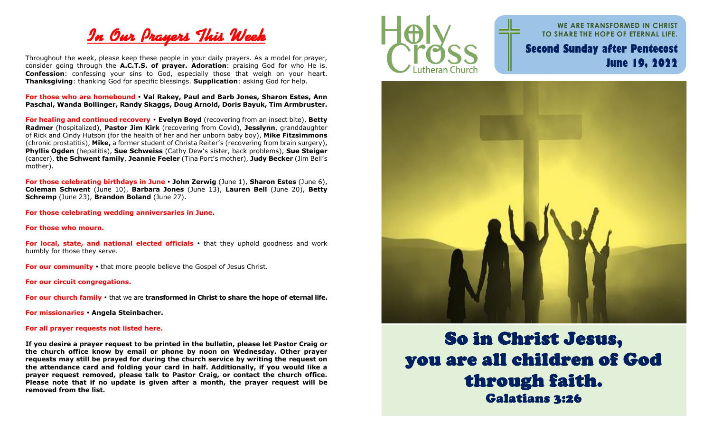

Throughout the week, please keep these people in your daily prayers. As a model for prayer, consider going through the **A.C.T.S. of prayer. Adoration**: praising God for who He is. **Confession**: confessing your sins to God, especially those that weigh on your heart. **Thanksgiving**: thanking God for specific blessings. **Supplication**: asking God for help.

**For those who are homebound Val Rakey, Paul and Barb Jones, Sharon Estes, Ann Paschal, Wanda Bollinger, Randy Skaggs, Doug Arnold, Doris Bayuk, Tim Armbruster.**

**For healing and continued recovery Evelyn Boyd** (recovering from an insect bite), **Betty Radmer** (hospitalized), **Pastor Jim Kirk** (recovering from Covid), **Jesslynn**, granddaughter of Rick and Cindy Hutson (for the health of her and her unborn baby boy), **Mike Fitzsimmons** (chronic prostatitis), **Mike,** a former student of Christa Reiter's (recovering from brain surgery), **Phyllis Ogden** (hepatitis), **Sue Schweiss** (Cathy Dew's sister, back problems), **Sue Steiger** (cancer), **the Schwent family**, **Jeannie Feeler** (Tina Port's mother), **Judy Becker** (Jim Bell's mother).

**For those celebrating birthdays in June John Zerwig** (June 1), **Sharon Estes** (June 6), **Coleman Schwent** (June 10), **Barbara Jones** (June 13), **Lauren Bell** (June 20), **Betty Schremp** (June 23), **Brandon Boland** (June 27).

**For those celebrating wedding anniversaries in June.**

**For those who mourn.**

**For local, state, and national elected officials •** that they uphold goodness and work humbly for those they serve.

**For our community** • that more people believe the Gospel of Jesus Christ.

**For our circuit congregations.**

**For our church family**  that we are **transformed in Christ to share the hope of eternal life.**

**For missionaries Angela Steinbacher.**

#### **For all prayer requests not listed here.**

**If you desire a prayer request to be printed in the bulletin, please let Pastor Craig or the church office know by email or phone by noon on Wednesday. Other prayer requests may still be prayed for during the church service by writing the request on the attendance card and folding your card in half. Additionally, if you would like a prayer request removed, please talk to Pastor Craig, or contact the church office. Please note that if no update is given after a month, the prayer request will be removed from the list.** 



**WE ARE TRANSFORMED IN CHRIST TO SHARE THE HOPE OF ETERNAL LIFE. Second Sunday after Pentecost June 19, 2022**



So in Christ Jesus, you are all children of God through faith. Galatians 3:26